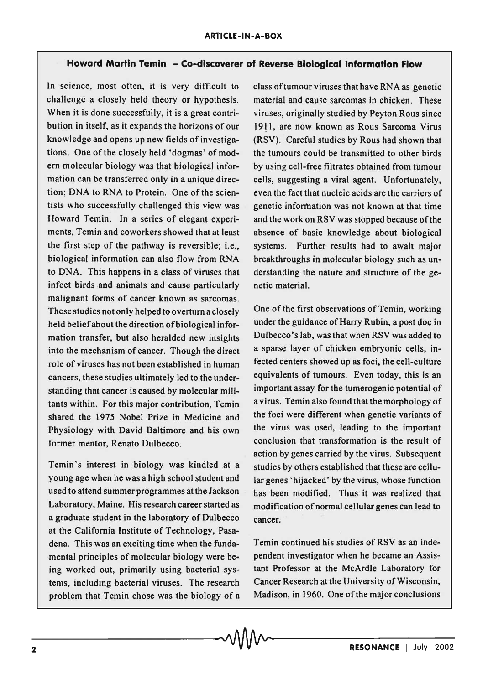## . **Howard Martin Temin - Co-discoverer of Reverse Biological Information Flow**

In science, most often, it is very difficult to challenge a closely held theory or hypothesis. When it is done successfully, it is a great contribution in itself, as it expands the horizons of our knowledge and opens up new fields of investigations. One of the closely held 'dogmas' of modern molecular biology was that biological information can be transferred only in a unique direction; DNA to RNA to Protein. One of the scientists who successfully challenged this view was Howard Temin. In a series of elegant experiments, Temin and coworkers showed that at least the first step of the pathway is reversible; i.e., biological information can also flow from RNA to DNA. This happens in a class of viruses that infect birds and animals and cause particularly malignant forms of cancer known as sarcomas. These studies not only helped to overturn a closely held belief about the direction of biological information transfer, but also heralded new insights into the mechanism of cancer. Though the direct role of viruses has not been established in human cancers, these studies ultimately led to the understanding that cancer is caused by molecular militants within. For this major contribution, Temin shared the 1975 Nobel Prize in Medicine and Physiology with David Baltimore and his own former mentor, Renato Dulbecco.

Temin's interest in biology was kindled at a young age when he was a high school student and used to attend summer programmes at the Jackson Laboratory, Maine. His research career started as a graduate student in the laboratory of Dulbecco at the California Institute of Technology, Pasadena. This was an exciting time when the fundamental principles of molecular biology were being worked out, primarily using bacterial systems, including bacterial viruses. The research problem that Temin chose was the biology of a problem that Temin chose was the biology of a Madison, in 1960. One of the major conclusions<br> **CONANCE** | July 2002

class of tumour viruses that have RNA as genetic material and cause sarcomas in chicken. These viruses, originally studied by Peyton Rous since 1911, are now known as Rous Sarcoma Virus (RSV). Careful studies by Rous had shown that the tumours could be transmitted to other birds by using cell-free filtrates obtained from tumour cells, suggesting a viral agent. Unfortunately, even the fact that nucleic acids are the carriers of genetic information was not known at that time and the work on RSV was stopped because of the absence of basic knowledge about biological systems. Further results had to await major breakthroughs in molecular biology such as understanding the nature and structure of the genetic material.

One of the first observations of Temin, working under the guidance of Harry Rubin, a post doc in Dulbecco's lab, was that when RSV was added to a sparse layer of chicken embryonic cells, infected centers showed up as foci, the cell-culture equivalents of tumours. Even today, this is an important assay for the tumerogenic potential of a virus. Temin also found that the morphology of the foci were different when genetic variants of the virus was used, leading to the important conclusion that transformation is the result of action by genes carried by the virus. Subsequent studies by others established that these are cellular genes 'hijacked' by the virus, whose function has been modified. Thus it was realized that modification of normal cellular genes can lead to cancer.

Temin continued his studies of RSV as an independent investigator when he became an Assistant Professor at the McArdle Laboratory for Cancer Research at the University of Wisconsin, Madison, in 1960. One of the major conclusions